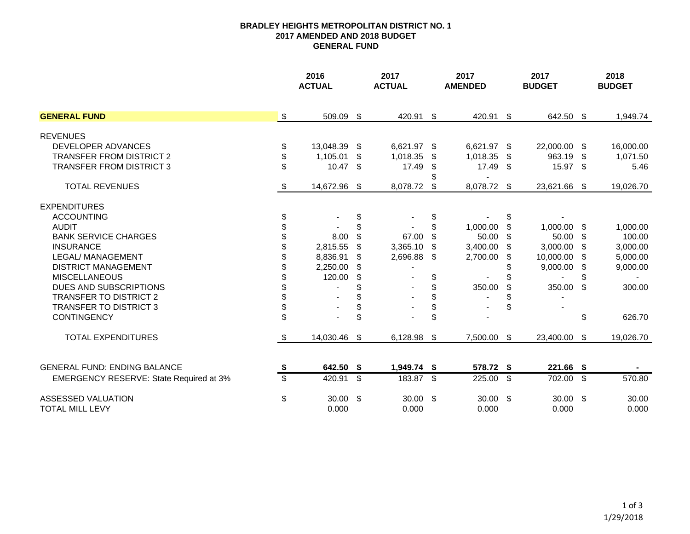## **BRADLEY HEIGHTS METROPOLITAN DISTRICT NO. 12017 AMENDED AND 2018 BUDGET GENERAL FUND**

|                                              |               | 2016<br><b>ACTUAL</b> |               | 2017<br><b>ACTUAL</b> |      | 2017<br><b>AMENDED</b> |     | 2017<br><b>BUDGET</b>    |                         | 2018<br><b>BUDGET</b> |  |
|----------------------------------------------|---------------|-----------------------|---------------|-----------------------|------|------------------------|-----|--------------------------|-------------------------|-----------------------|--|
| <b>GENERAL FUND</b>                          | $\sqrt[6]{2}$ | 509.09 \$             |               | 420.91 \$             |      | 420.91 \$              |     | 642.50 \$                |                         | 1,949.74              |  |
| <b>REVENUES</b>                              |               |                       |               |                       |      |                        |     |                          |                         |                       |  |
| DEVELOPER ADVANCES                           | \$            | 13,048.39             | \$            | 6,621.97 \$           |      | 6,621.97 \$            |     | 22,000.00                | -\$                     | 16,000.00             |  |
| <b>TRANSFER FROM DISTRICT 2</b>              | \$            | 1,105.01              | \$            | 1,018.35              | S    | 1,018.35               | S.  | 963.19                   | - SS                    | 1,071.50              |  |
| <b>TRANSFER FROM DISTRICT 3</b>              |               | 10.47                 | \$            | 17.49                 |      | $17.49$ \$             |     | 15.97 \$                 |                         | 5.46                  |  |
|                                              |               |                       |               |                       |      |                        |     |                          |                         |                       |  |
| <b>TOTAL REVENUES</b>                        | \$            | 14,672.96 \$          |               | 8,078.72              | -S   | 8,078.72 \$            |     | 23,621.66 \$             |                         | 19,026.70             |  |
| <b>EXPENDITURES</b>                          |               |                       |               |                       |      |                        |     |                          |                         |                       |  |
| <b>ACCOUNTING</b>                            | \$            |                       | \$            |                       | \$   |                        | \$  |                          |                         |                       |  |
| <b>AUDIT</b>                                 |               |                       | \$            |                       | \$   | 1,000.00               | \$  | 1,000.00                 | S                       | 1,000.00              |  |
| <b>BANK SERVICE CHARGES</b>                  |               | 8.00                  | \$            | 67.00                 | \$   | 50.00                  | \$. | 50.00                    | - \$                    | 100.00                |  |
| <b>INSURANCE</b>                             |               | 2,815.55              | \$            | 3,365.10              | \$.  | 3,400.00               | \$. | 3,000.00                 |                         | 3,000.00              |  |
| LEGAL/ MANAGEMENT                            |               | 8,836.91              | \$            | 2,696.88              | - \$ | 2,700.00               | \$  | 10,000.00                | -S                      | 5,000.00              |  |
| <b>DISTRICT MANAGEMENT</b>                   |               | 2,250.00              | S             |                       |      |                        |     | 9,000.00                 | - \$                    | 9,000.00              |  |
| <b>MISCELLANEOUS</b>                         |               | 120.00                | \$            |                       | \$   |                        |     |                          |                         |                       |  |
| DUES AND SUBSCRIPTIONS                       |               |                       |               |                       | \$   | 350.00                 | \$  | 350.00                   | \$                      | 300.00                |  |
| TRANSFER TO DISTRICT 2                       |               |                       | \$            |                       |      |                        |     |                          |                         |                       |  |
| <b>TRANSFER TO DISTRICT 3</b>                | \$            |                       | \$            |                       |      |                        |     |                          |                         |                       |  |
| <b>CONTINGENCY</b>                           | \$            |                       | \$            |                       | \$   |                        |     |                          | \$                      | 626.70                |  |
| <b>TOTAL EXPENDITURES</b>                    | \$            | 14,030.46             | $\sqrt[6]{2}$ | 6,128.98 \$           |      | 7,500.00 \$            |     | 23,400.00                | $\sqrt[6]{\frac{1}{2}}$ | 19,026.70             |  |
|                                              |               |                       |               |                       |      |                        |     |                          |                         |                       |  |
| <b>GENERAL FUND: ENDING BALANCE</b>          |               | 642.50 \$             |               | 1,949.74 \$           |      | 578.72 \$              |     | 221.66 \$                |                         |                       |  |
| EMERGENCY RESERVE: State Required at 3%      |               | 420.91                | s             | 183.87 \$             |      | 225.00                 | \$  | 702.00                   | \$                      | 570.80                |  |
| ASSESSED VALUATION<br><b>TOTAL MILL LEVY</b> | \$            | $30.00$ \$<br>0.000   |               | $30.00$ \$<br>0.000   |      | $30.00$ \$<br>0.000    |     | $30.00\quad$ \$<br>0.000 |                         | 30.00<br>0.000        |  |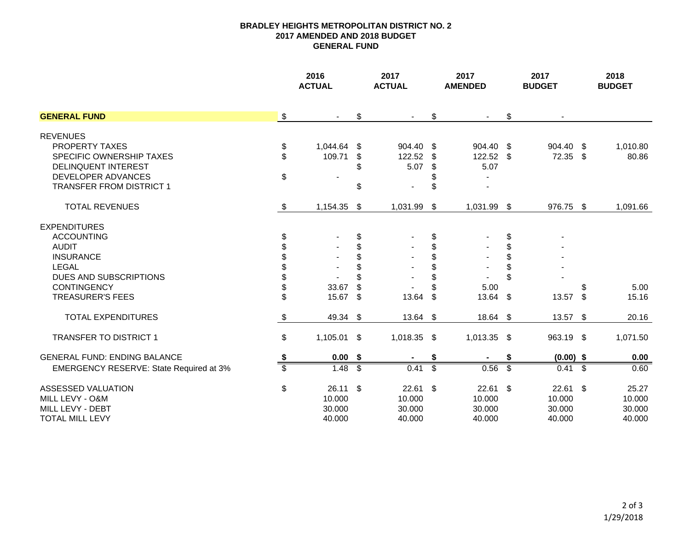## **BRADLEY HEIGHTS METROPOLITAN DISTRICT NO. 22017 AMENDED AND 2018 BUDGET GENERAL FUND**

|                                         |                | 2016<br><b>ACTUAL</b> |               | 2017<br><b>ACTUAL</b>    |    | 2017<br><b>AMENDED</b> |    | 2017<br><b>BUDGET</b> | 2018<br><b>BUDGET</b> |
|-----------------------------------------|----------------|-----------------------|---------------|--------------------------|----|------------------------|----|-----------------------|-----------------------|
| <b>GENERAL FUND</b>                     | $\sqrt[6]{3}$  | $\blacksquare$        | \$            | $\blacksquare$           | \$ | $\blacksquare$         | \$ |                       |                       |
| <b>REVENUES</b>                         |                |                       |               |                          |    |                        |    |                       |                       |
| <b>PROPERTY TAXES</b>                   | \$             | 1,044.64 \$           |               | 904.40 \$                |    | 904.40 \$              |    | 904.40 \$             | 1,010.80              |
| SPECIFIC OWNERSHIP TAXES                | \$             | 109.71                | \$            | 122.52                   | \$ | 122.52 \$              |    | $72.35$ \$            | 80.86                 |
| <b>DELINQUENT INTEREST</b>              |                |                       | \$            | 5.07                     | \$ | 5.07                   |    |                       |                       |
| DEVELOPER ADVANCES                      | $\mathfrak{S}$ |                       |               |                          | \$ |                        |    |                       |                       |
| <b>TRANSFER FROM DISTRICT 1</b>         |                |                       | \$            | $\overline{\phantom{0}}$ | \$ |                        |    |                       |                       |
| <b>TOTAL REVENUES</b>                   | \$             | 1,154.35              | \$            | 1,031.99 \$              |    | 1,031.99 \$            |    | 976.75 \$             | 1,091.66              |
| <b>EXPENDITURES</b>                     |                |                       |               |                          |    |                        |    |                       |                       |
| <b>ACCOUNTING</b>                       | \$             |                       | \$            |                          | \$ |                        | \$ |                       |                       |
| <b>AUDIT</b>                            | \$             |                       | \$            |                          | \$ |                        | \$ |                       |                       |
| <b>INSURANCE</b>                        |                |                       | \$            |                          | \$ |                        | \$ |                       |                       |
| LEGAL                                   |                |                       | \$            |                          | \$ |                        | \$ |                       |                       |
| DUES AND SUBSCRIPTIONS                  |                |                       |               |                          | \$ |                        | \$ |                       |                       |
| <b>CONTINGENCY</b>                      | \$             | 33.67                 | \$            |                          | \$ | 5.00                   |    |                       | 5.00                  |
| <b>TREASURER'S FEES</b>                 | \$             | 15.67                 | \$            | 13.64                    | \$ | $13.64$ \$             |    | $13.57$ \$            | 15.16                 |
| <b>TOTAL EXPENDITURES</b>               | \$             | 49.34 \$              |               | 13.64 \$                 |    | 18.64 \$               |    | $13.57$ \$            | 20.16                 |
| <b>TRANSFER TO DISTRICT 1</b>           | \$             | 1,105.01              | \$            | 1,018.35 \$              |    | $1,013.35$ \$          |    | 963.19 \$             | 1,071.50              |
| <b>GENERAL FUND: ENDING BALANCE</b>     | \$             | $0.00\,$ \$           |               |                          | \$ |                        | \$ | $(0.00)$ \$           | 0.00                  |
| EMERGENCY RESERVE: State Required at 3% | \$             | 1.48                  | \$            | 0.41                     | க  | 0.56                   | s) | $0.41 \quad$ \$       | 0.60                  |
| ASSESSED VALUATION                      | \$             | 26.11                 | $\sqrt[6]{3}$ | $22.61$ \$               |    | $22.61$ \$             |    | $22.61$ \$            | 25.27                 |
| MILL LEVY - O&M                         |                | 10.000                |               | 10.000                   |    | 10.000                 |    | 10.000                | 10.000                |
| MILL LEVY - DEBT                        |                | 30.000                |               | 30.000                   |    | 30.000                 |    | 30.000                | 30.000                |
| <b>TOTAL MILL LEVY</b>                  |                | 40.000                |               | 40.000                   |    | 40.000                 |    | 40.000                | 40.000                |